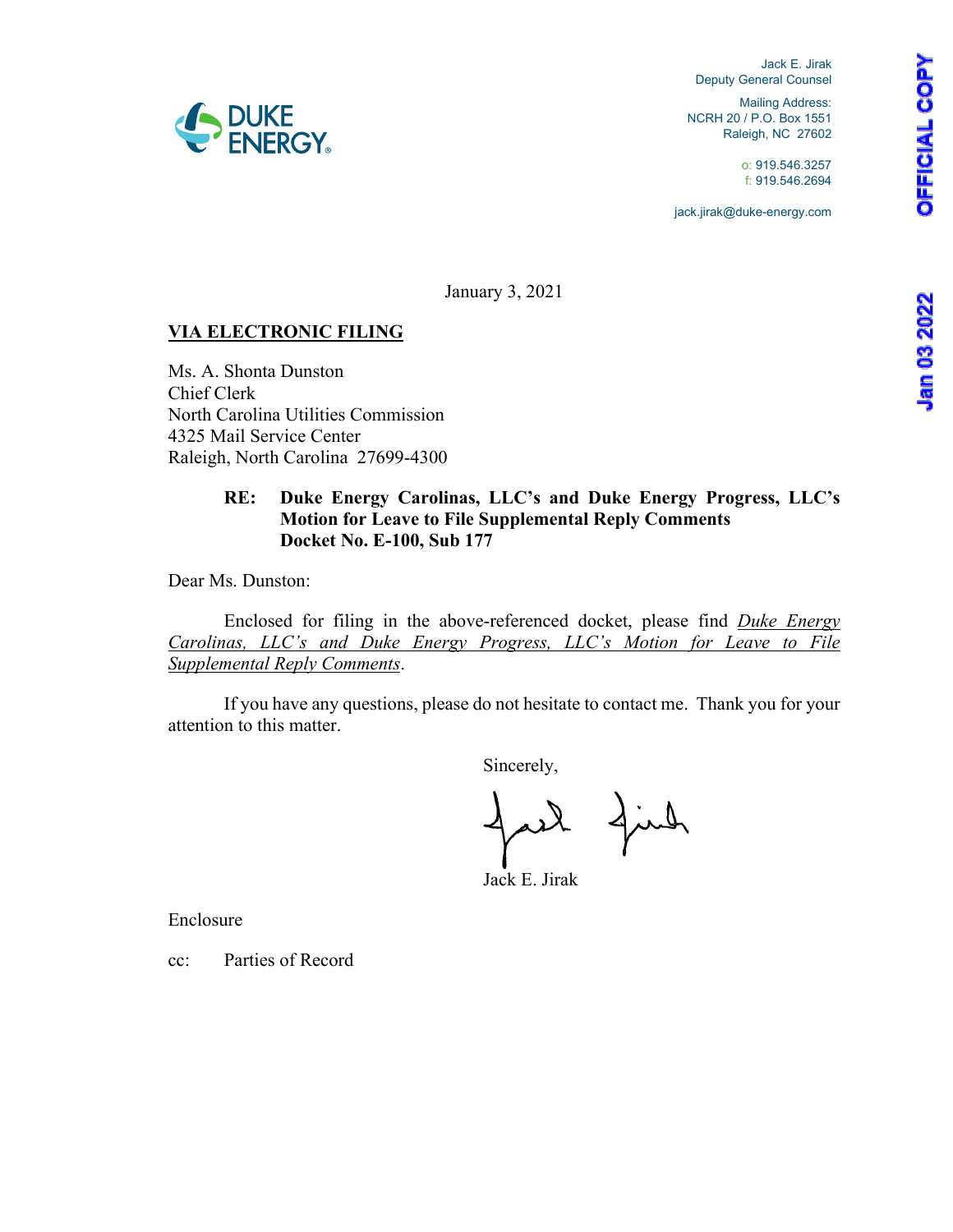**OFFICIAL COPY** 

Jack E. Jirak Deputy General Counsel

Mailing Address: NCRH 20 / P.O. Box 1551 Raleigh, NC 27602

> o: 919.546.3257 f: 919.546.2694

jack.jirak@duke-energy.com

January 3, 2021

# **VIA ELECTRONIC FILING**

Ms. A. Shonta Dunston Chief Clerk North Carolina Utilities Commission 4325 Mail Service Center Raleigh, North Carolina 27699-4300

### **RE: Duke Energy Carolinas, LLC's and Duke Energy Progress, LLC's Motion for Leave to File Supplemental Reply Comments Docket No. E-100, Sub 177**

Dear Ms. Dunston:

 Enclosed for filing in the above-referenced docket, please find *Duke Energy Carolinas, LLC's and Duke Energy Progress, LLC's Motion for Leave to File Supplemental Reply Comments*.

 If you have any questions, please do not hesitate to contact me. Thank you for your attention to this matter.

Sincerely,

find

Jack E. Jirak

Enclosure

cc: Parties of Record

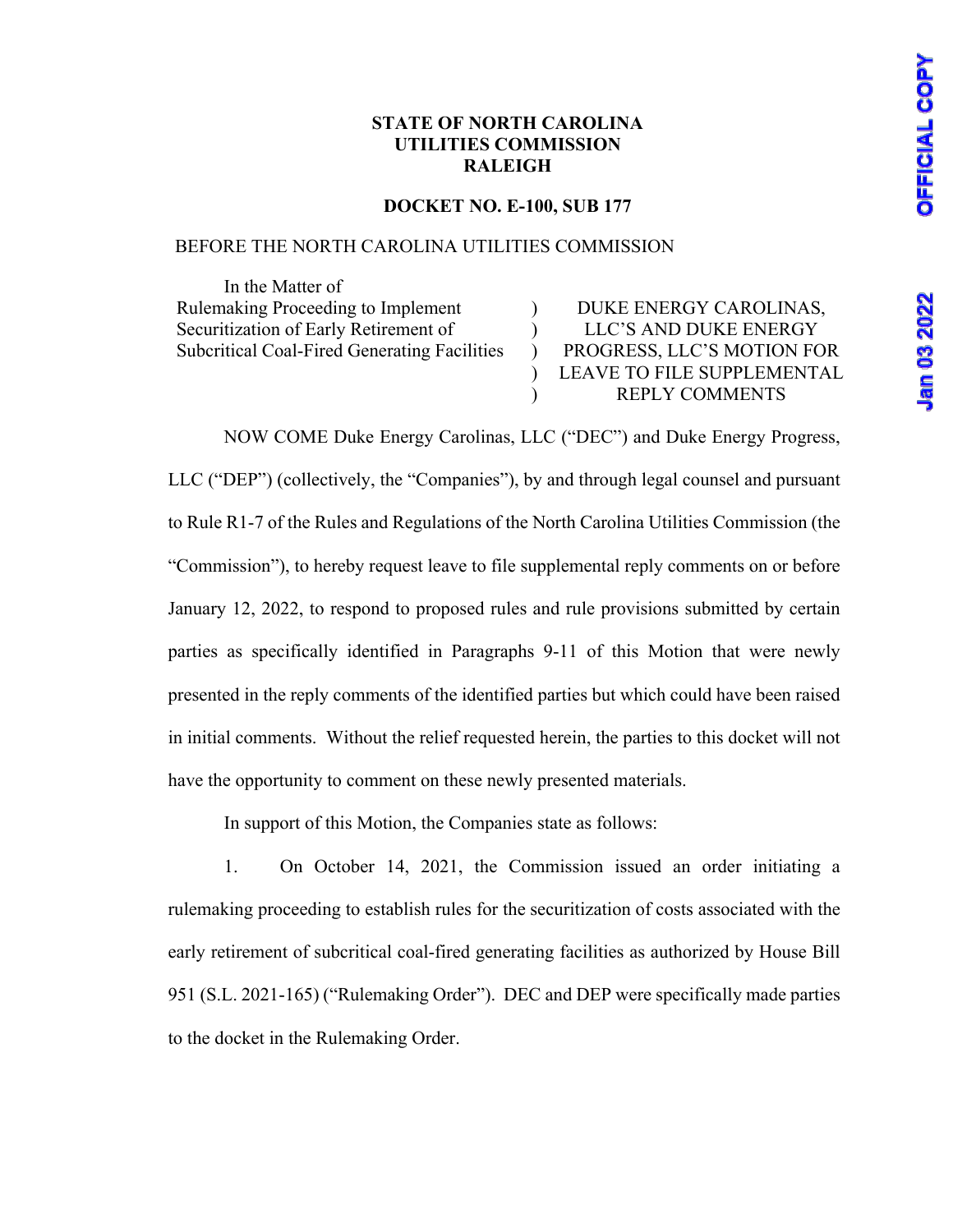**Jan 03 2022** 

## **STATE OF NORTH CAROLINA UTILITIES COMMISSION RALEIGH**

#### **DOCKET NO. E-100, SUB 177**

## BEFORE THE NORTH CAROLINA UTILITIES COMMISSION

 In the Matter of Rulemaking Proceeding to Implement Securitization of Early Retirement of Subcritical Coal-Fired Generating Facilities

 $\lambda$ ) ) ) ) DUKE ENERGY CAROLINAS, LLC'S AND DUKE ENERGY PROGRESS, LLC'S MOTION FOR LEAVE TO FILE SUPPLEMENTAL REPLY COMMENTS

NOW COME Duke Energy Carolinas, LLC ("DEC") and Duke Energy Progress, LLC ("DEP") (collectively, the "Companies"), by and through legal counsel and pursuant to Rule R1-7 of the Rules and Regulations of the North Carolina Utilities Commission (the "Commission"), to hereby request leave to file supplemental reply comments on or before January 12, 2022, to respond to proposed rules and rule provisions submitted by certain parties as specifically identified in Paragraphs 9-11 of this Motion that were newly presented in the reply comments of the identified parties but which could have been raised in initial comments. Without the relief requested herein, the parties to this docket will not have the opportunity to comment on these newly presented materials.

In support of this Motion, the Companies state as follows:

1. On October 14, 2021, the Commission issued an order initiating a rulemaking proceeding to establish rules for the securitization of costs associated with the early retirement of subcritical coal-fired generating facilities as authorized by House Bill 951 (S.L. 2021-165) ("Rulemaking Order"). DEC and DEP were specifically made parties to the docket in the Rulemaking Order.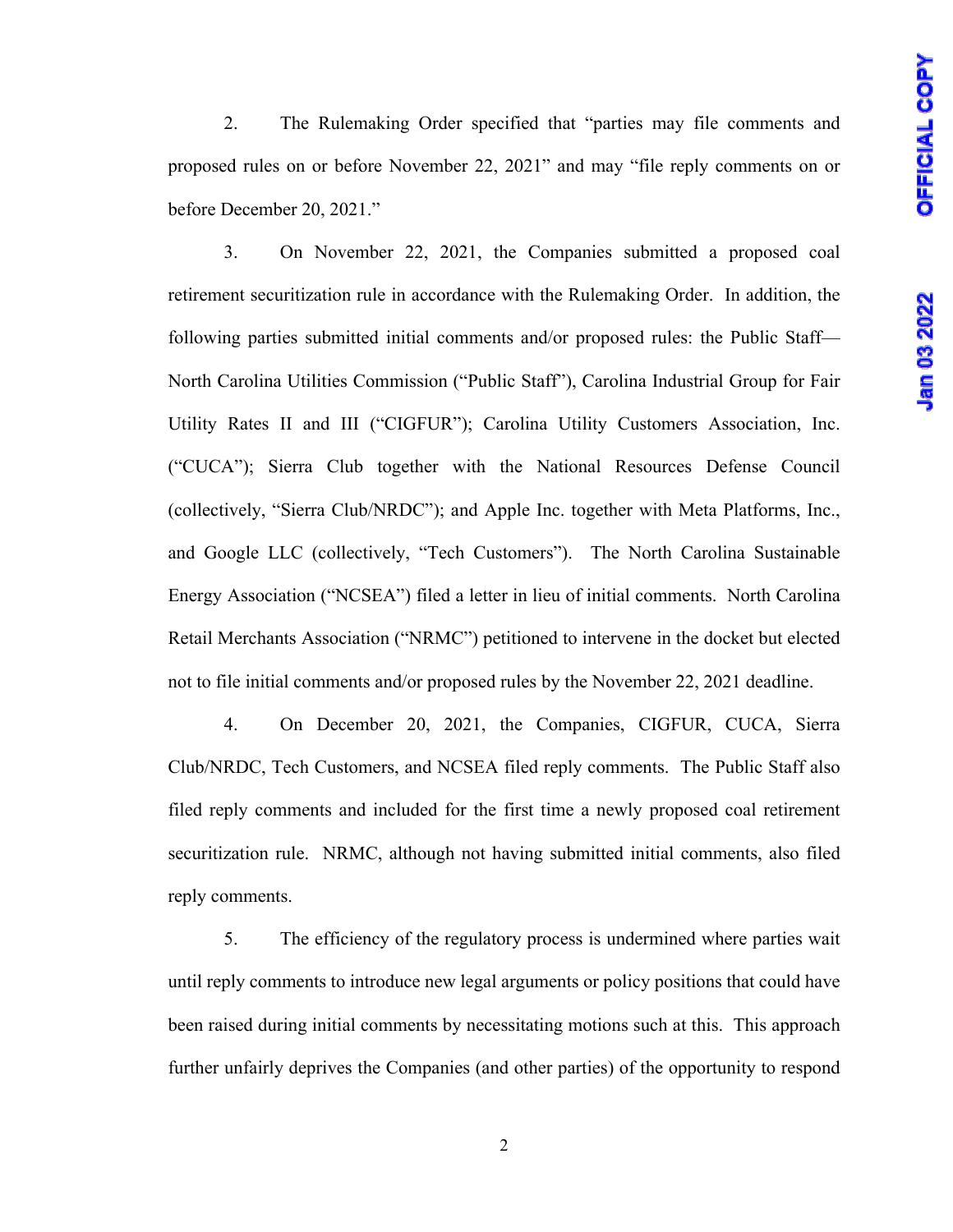2. The Rulemaking Order specified that "parties may file comments and proposed rules on or before November 22, 2021" and may "file reply comments on or before December 20, 2021."

3. On November 22, 2021, the Companies submitted a proposed coal retirement securitization rule in accordance with the Rulemaking Order. In addition, the following parties submitted initial comments and/or proposed rules: the Public Staff— North Carolina Utilities Commission ("Public Staff"), Carolina Industrial Group for Fair Utility Rates II and III ("CIGFUR"); Carolina Utility Customers Association, Inc. ("CUCA"); Sierra Club together with the National Resources Defense Council (collectively, "Sierra Club/NRDC"); and Apple Inc. together with Meta Platforms, Inc., and Google LLC (collectively, "Tech Customers"). The North Carolina Sustainable Energy Association ("NCSEA") filed a letter in lieu of initial comments. North Carolina Retail Merchants Association ("NRMC") petitioned to intervene in the docket but elected not to file initial comments and/or proposed rules by the November 22, 2021 deadline.

4. On December 20, 2021, the Companies, CIGFUR, CUCA, Sierra Club/NRDC, Tech Customers, and NCSEA filed reply comments. The Public Staff also filed reply comments and included for the first time a newly proposed coal retirement securitization rule. NRMC, although not having submitted initial comments, also filed reply comments.

5. The efficiency of the regulatory process is undermined where parties wait until reply comments to introduce new legal arguments or policy positions that could have been raised during initial comments by necessitating motions such at this. This approach further unfairly deprives the Companies (and other parties) of the opportunity to respond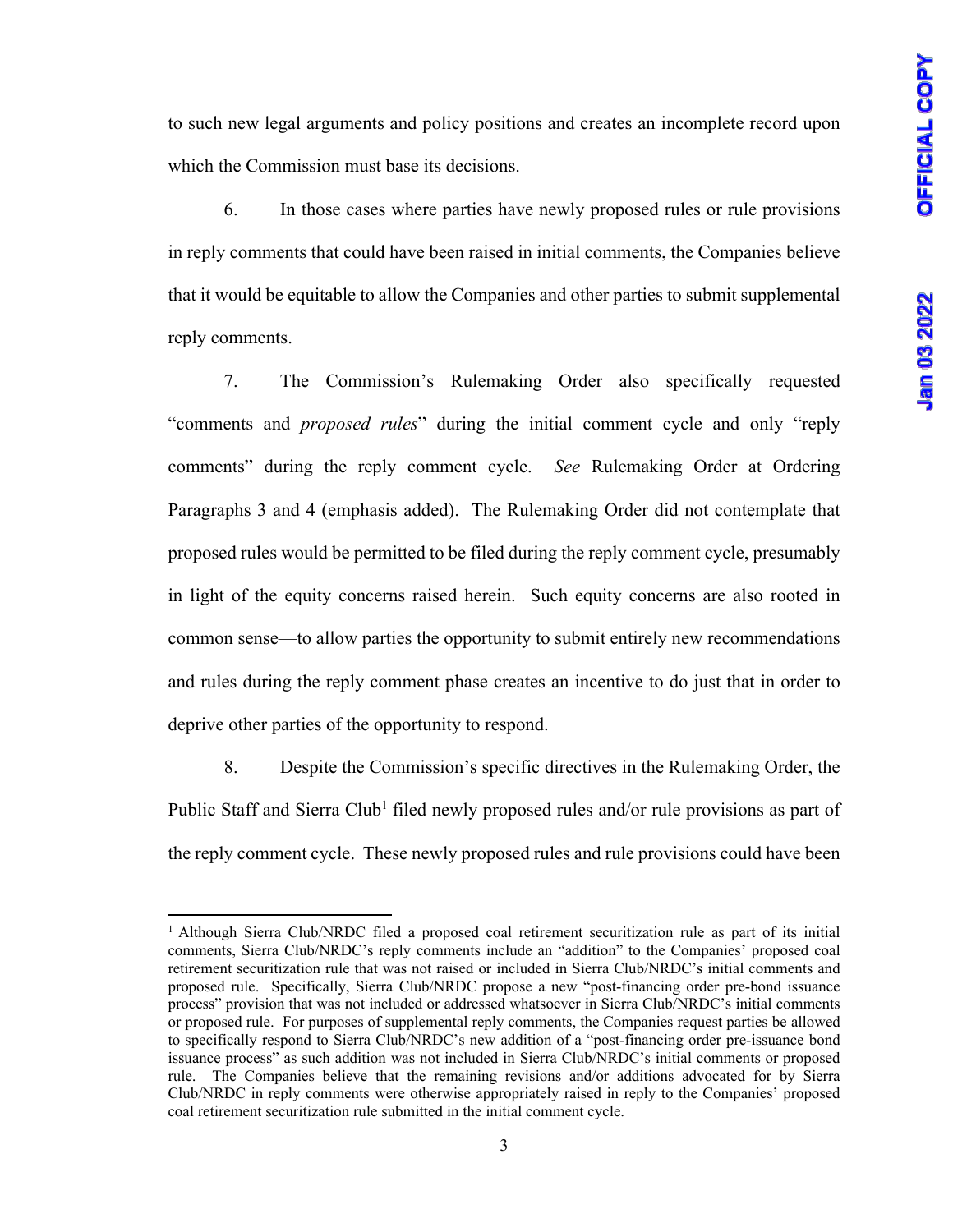to such new legal arguments and policy positions and creates an incomplete record upon which the Commission must base its decisions.

6. In those cases where parties have newly proposed rules or rule provisions in reply comments that could have been raised in initial comments, the Companies believe that it would be equitable to allow the Companies and other parties to submit supplemental reply comments.

7. The Commission's Rulemaking Order also specifically requested "comments and *proposed rules*" during the initial comment cycle and only "reply comments" during the reply comment cycle. *See* Rulemaking Order at Ordering Paragraphs 3 and 4 (emphasis added). The Rulemaking Order did not contemplate that proposed rules would be permitted to be filed during the reply comment cycle, presumably in light of the equity concerns raised herein. Such equity concerns are also rooted in common sense—to allow parties the opportunity to submit entirely new recommendations and rules during the reply comment phase creates an incentive to do just that in order to deprive other parties of the opportunity to respond.

8. Despite the Commission's specific directives in the Rulemaking Order, the Public Staff and Sierra Club<sup>1</sup> filed newly proposed rules and/or rule provisions as part of the reply comment cycle. These newly proposed rules and rule provisions could have been

<sup>1</sup> Although Sierra Club/NRDC filed a proposed coal retirement securitization rule as part of its initial comments, Sierra Club/NRDC's reply comments include an "addition" to the Companies' proposed coal retirement securitization rule that was not raised or included in Sierra Club/NRDC's initial comments and proposed rule. Specifically, Sierra Club/NRDC propose a new "post-financing order pre-bond issuance process" provision that was not included or addressed whatsoever in Sierra Club/NRDC's initial comments or proposed rule. For purposes of supplemental reply comments, the Companies request parties be allowed to specifically respond to Sierra Club/NRDC's new addition of a "post-financing order pre-issuance bond issuance process" as such addition was not included in Sierra Club/NRDC's initial comments or proposed rule. The Companies believe that the remaining revisions and/or additions advocated for by Sierra Club/NRDC in reply comments were otherwise appropriately raised in reply to the Companies' proposed coal retirement securitization rule submitted in the initial comment cycle.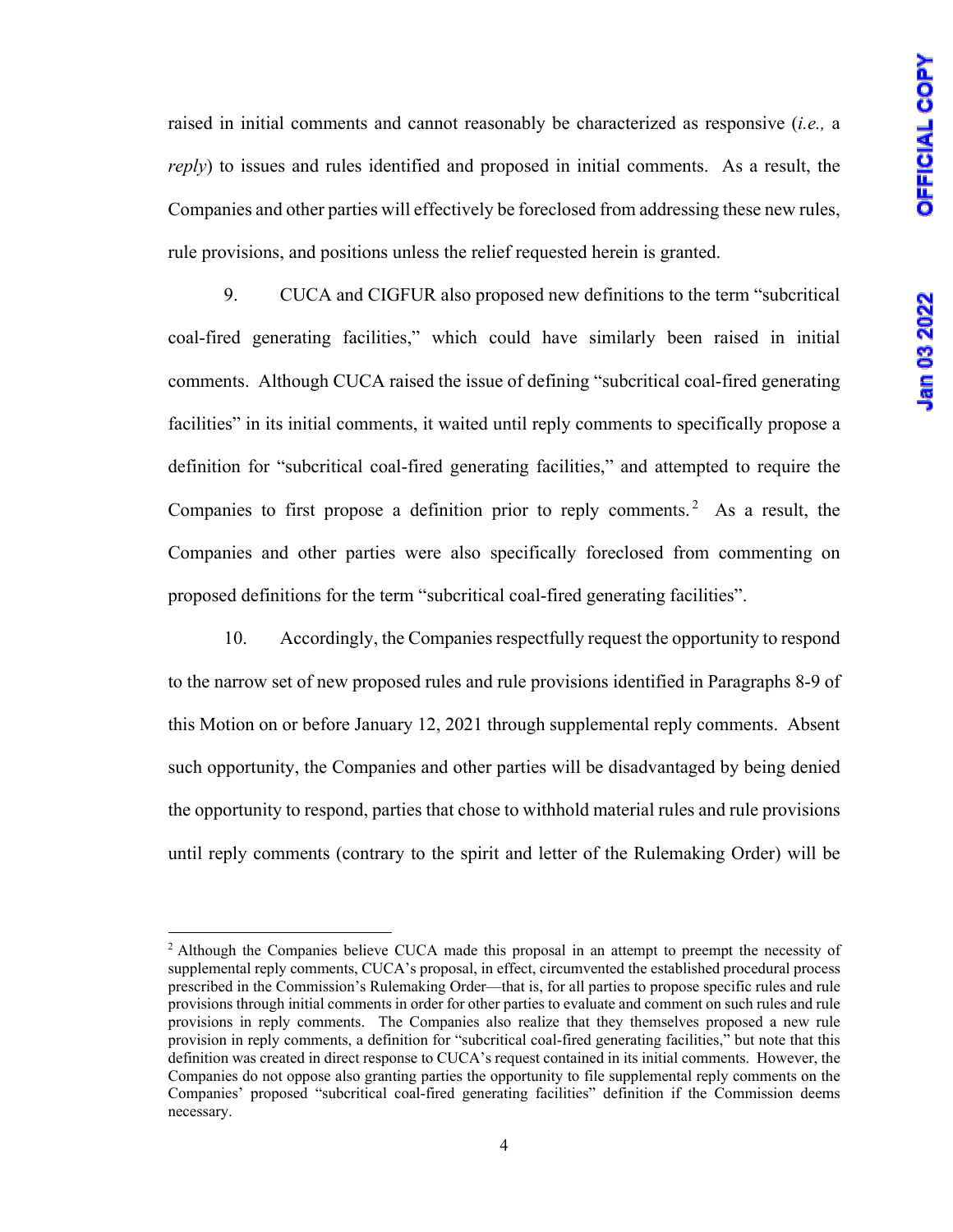raised in initial comments and cannot reasonably be characterized as responsive (*i.e.,* a *reply*) to issues and rules identified and proposed in initial comments. As a result, the Companies and other parties will effectively be foreclosed from addressing these new rules, rule provisions, and positions unless the relief requested herein is granted.

9. CUCA and CIGFUR also proposed new definitions to the term "subcritical coal-fired generating facilities," which could have similarly been raised in initial comments. Although CUCA raised the issue of defining "subcritical coal-fired generating facilities" in its initial comments, it waited until reply comments to specifically propose a definition for "subcritical coal-fired generating facilities," and attempted to require the Companies to first propose a definition prior to reply comments.<sup>2</sup> As a result, the Companies and other parties were also specifically foreclosed from commenting on proposed definitions for the term "subcritical coal-fired generating facilities".

10. Accordingly, the Companies respectfully request the opportunity to respond to the narrow set of new proposed rules and rule provisions identified in Paragraphs 8-9 of this Motion on or before January 12, 2021 through supplemental reply comments. Absent such opportunity, the Companies and other parties will be disadvantaged by being denied the opportunity to respond, parties that chose to withhold material rules and rule provisions until reply comments (contrary to the spirit and letter of the Rulemaking Order) will be

<sup>&</sup>lt;sup>2</sup> Although the Companies believe CUCA made this proposal in an attempt to preempt the necessity of supplemental reply comments, CUCA's proposal, in effect, circumvented the established procedural process prescribed in the Commission's Rulemaking Order—that is, for all parties to propose specific rules and rule provisions through initial comments in order for other parties to evaluate and comment on such rules and rule provisions in reply comments. The Companies also realize that they themselves proposed a new rule provision in reply comments, a definition for "subcritical coal-fired generating facilities," but note that this definition was created in direct response to CUCA's request contained in its initial comments. However, the Companies do not oppose also granting parties the opportunity to file supplemental reply comments on the Companies' proposed "subcritical coal-fired generating facilities" definition if the Commission deems necessary.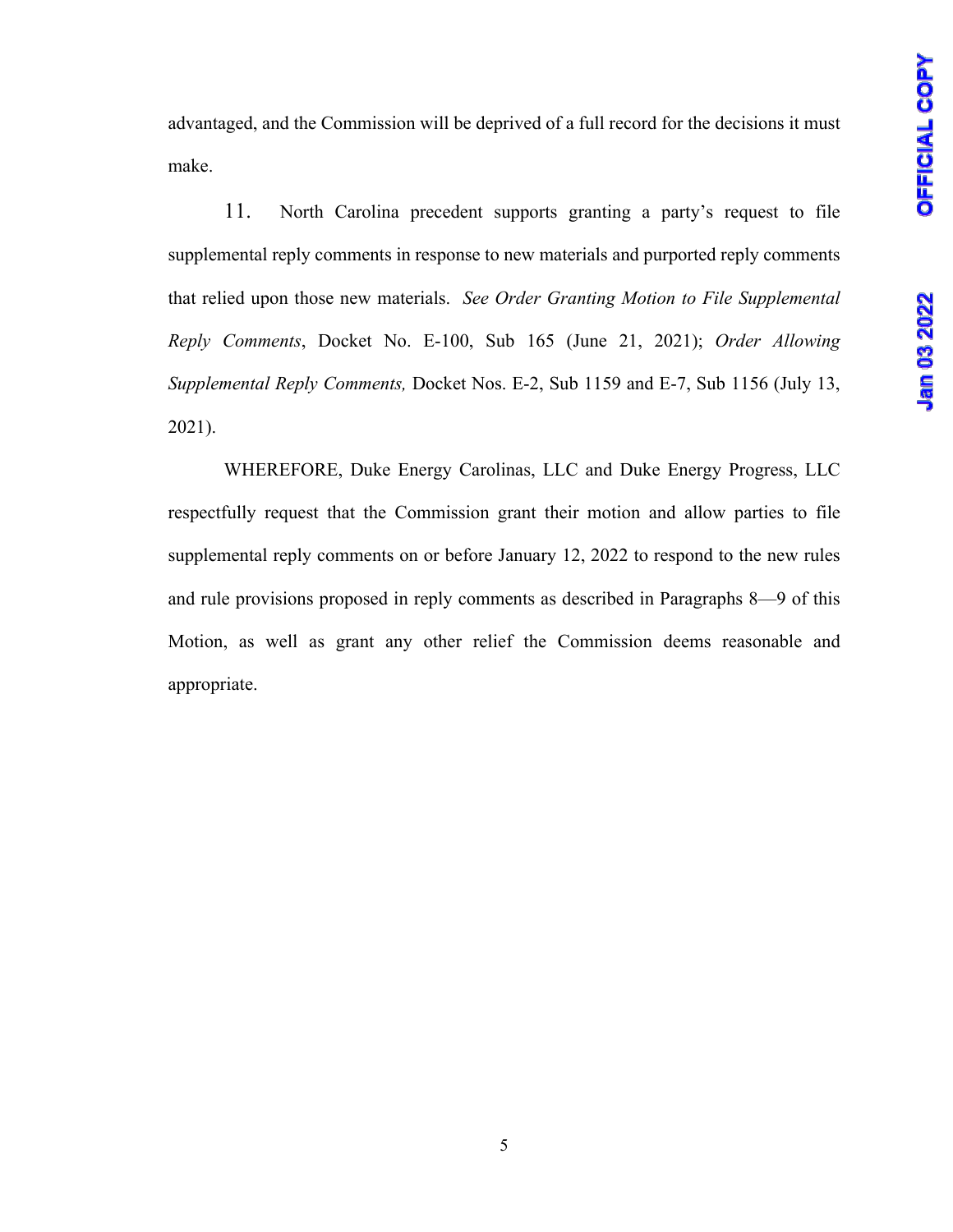advantaged, and the Commission will be deprived of a full record for the decisions it must make.

11. North Carolina precedent supports granting a party's request to file supplemental reply comments in response to new materials and purported reply comments that relied upon those new materials. *See Order Granting Motion to File Supplemental Reply Comments*, Docket No. E-100, Sub 165 (June 21, 2021); *Order Allowing Supplemental Reply Comments,* Docket Nos. E-2, Sub 1159 and E-7, Sub 1156 (July 13, 2021).

WHEREFORE, Duke Energy Carolinas, LLC and Duke Energy Progress, LLC respectfully request that the Commission grant their motion and allow parties to file supplemental reply comments on or before January 12, 2022 to respond to the new rules and rule provisions proposed in reply comments as described in Paragraphs 8—9 of this Motion, as well as grant any other relief the Commission deems reasonable and appropriate.